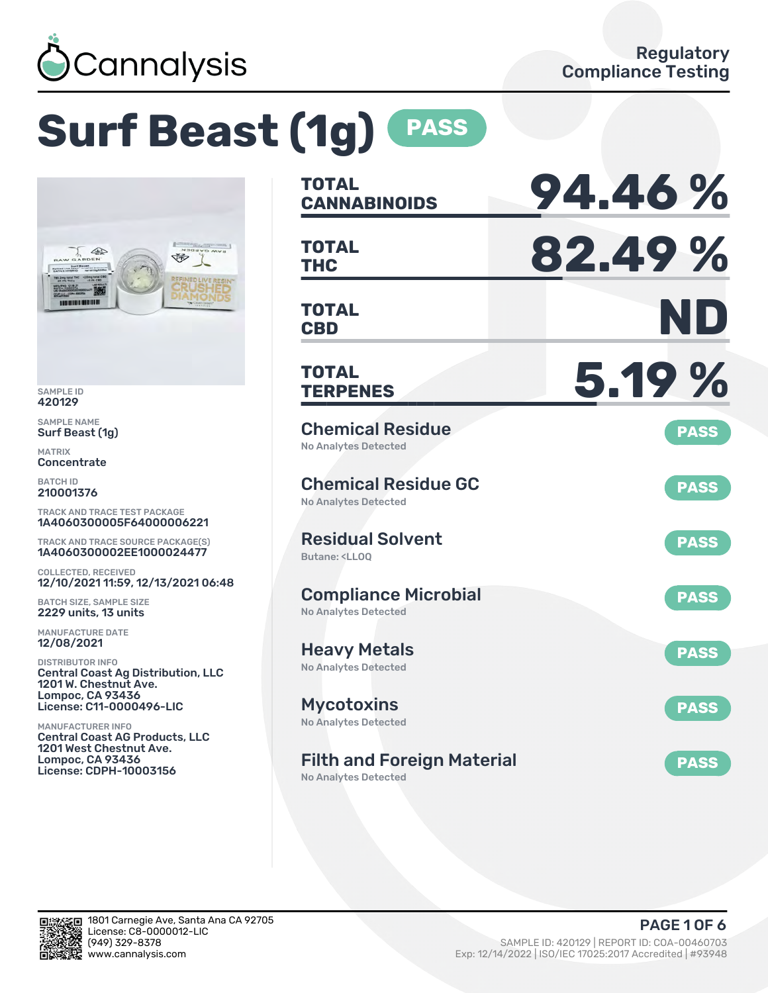

# **Surf Beast (1g) PASS**



SAMPLE ID 420129

SAMPLE NAME Surf Beast (1g)

MATRIX **Concentrate** 

BATCH ID 210001376

TRACK AND TRACE TEST PACKAGE 1A4060300005F64000006221

TRACK AND TRACE SOURCE PACKAGE(S) 1A4060300002EE1000024477

COLLECTED, RECEIVED 12/10/2021 11:59, 12/13/2021 06:48

BATCH SIZE, SAMPLE SIZE 2229 units, 13 units

MANUFACTURE DATE 12/08/2021

DISTRIBUTOR INFO Central Coast Ag Distribution, LLC 1201 W. Chestnut Ave. Lompoc, CA 93436 License: C11-0000496-LIC

MANUFACTURER INFO Central Coast AG Products, LLC 1201 West Chestnut Ave. Lompoc, CA 93436 License: CDPH-10003156

| TOTAL<br><b>CANNABINOIDS</b>                                   | 94.46%      |
|----------------------------------------------------------------|-------------|
| <b>TOTAL</b><br><b>THC</b>                                     | 82.49%      |
| <b>TOTAL</b><br><b>CBD</b>                                     | ND          |
| TOTAL<br><b>TERPENES</b>                                       | 5.19 %      |
| <b>Chemical Residue</b><br>No Analytes Detected                | <b>PASS</b> |
| <b>Chemical Residue GC</b><br>No Analytes Detected             | <b>PASS</b> |
| <b>Residual Solvent</b><br><b>Butane: <lloo< b=""></lloo<></b> | <b>PASS</b> |
| <b>Compliance Microbial</b><br><b>No Analytes Detected</b>     | <b>PASS</b> |
| <b>Heavy Metals</b><br><b>No Analytes Detected</b>             | <b>PASS</b> |
| <b>Mycotoxins</b><br>No Analytes Detected                      | <b>PASS</b> |
| <b>Filth and Foreign Material</b>                              | <b>PASS</b> |

No Analytes Detected

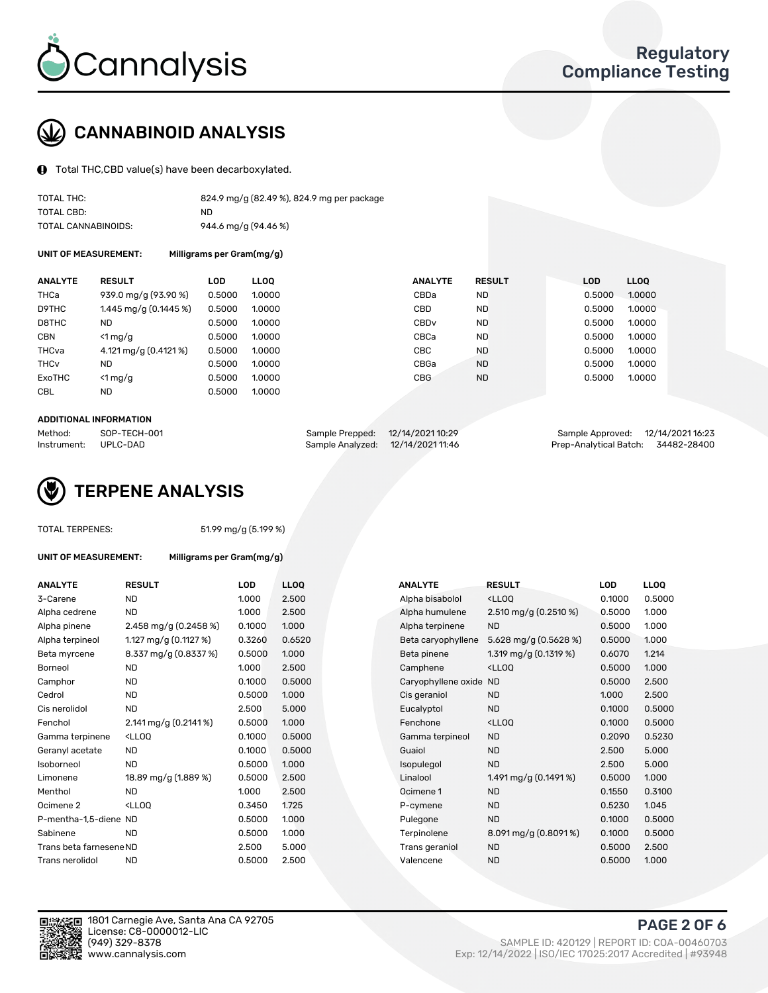

## CANNABINOID ANALYSIS

Total THC,CBD value(s) have been decarboxylated.

CBL ND 0.5000 1.0000

| TOTAL THC:          | 824.9 mg/g (82.49 %), 824.9 mg per package |
|---------------------|--------------------------------------------|
| TOTAL CBD:          | ND                                         |
| TOTAL CANNABINOIDS: | 944.6 mg/g (94.46 %)                       |

UNIT OF MEASUREMENT: Milligrams per Gram(mg/g)

| ANALYTE | <b>RESULT</b>         | LOD    | <b>LLOO</b> | <b>ANALYTE</b> | <b>RESULT</b> | <b>LOD</b> | <b>LLOO</b> |
|---------|-----------------------|--------|-------------|----------------|---------------|------------|-------------|
| ТНСа    | 939.0 mg/g (93.90 %)  | 0.5000 | 1.0000      | CBDa           | ND            | 0.5000     | 1.0000      |
| D9THC   | 1.445 mg/g (0.1445 %) | 0.5000 | 1.0000      | CBD            | ND.           | 0.5000     | 1.0000      |
| D8THC   | ND                    | 0.5000 | 1.0000      | CBDv           | ND            | 0.5000     | 1.0000      |

| ANALYIE     | RESULT                 | LUD    | LLUU   | ANALYIE          | RESULI    | LUD    | LLUU   |
|-------------|------------------------|--------|--------|------------------|-----------|--------|--------|
| THCa        | 939.0 mg/g (93.90 %)   | 0.5000 | 1.0000 | CBDa             | ND.       | 0.5000 | 1.0000 |
| D9THC       | 1.445 mg/g $(0.1445%)$ | 0.5000 | 1.0000 | CBD              | <b>ND</b> | 0.5000 | 1.0000 |
| D8THC       | ND                     | 0.5000 | 1.0000 | CBD <sub>v</sub> | <b>ND</b> | 0.5000 | 1.0000 |
| CBN         | $<$ 1 mg/g             | 0.5000 | 1.0000 | CBCa             | ND.       | 0.5000 | 1.0000 |
| THCva       | 4.121 mg/g (0.4121 %)  | 0.5000 | 1.0000 | СВС              | <b>ND</b> | 0.5000 | 1.0000 |
| <b>THCv</b> | ND.                    | 0.5000 | 1.0000 | CBGa             | <b>ND</b> | 0.5000 | 1.0000 |
| ExoTHC      | $\leq 1$ mg/g          | 0.5000 | 1.0000 | <b>CBG</b>       | <b>ND</b> | 0.5000 | 1.0000 |
|             |                        |        |        |                  |           |        |        |

#### ADDITIONAL INFORMATION

| Method:              | SOP-TECH-001 | Sample Prepped: 12/14/2021 10:29  | Sample Approved: 12/14/2021 16:23  |  |
|----------------------|--------------|-----------------------------------|------------------------------------|--|
| Instrument: UPLC-DAD |              | Sample Analyzed: 12/14/2021 11:46 | Prep-Analytical Batch: 34482-28400 |  |



### TOTAL TERPENES: 51.99 mg/g (5.199 %)

| UNIT OF MEASUREMENT:    | Milligrams per Gram(mg/g)                                                                                          |            |                  |                        |                                                    |        |             |
|-------------------------|--------------------------------------------------------------------------------------------------------------------|------------|------------------|------------------------|----------------------------------------------------|--------|-------------|
| ANALYTE                 | <b>RESULT</b>                                                                                                      | <b>LOD</b> | LL <sub>00</sub> | <b>ANALYTE</b>         | <b>RESULT</b>                                      | LOD    | <b>LLOQ</b> |
| 3-Carene                | <b>ND</b>                                                                                                          | 1.000      | 2.500            | Alpha bisabolol        | <ll0q< td=""><td>0.1000</td><td>0.500</td></ll0q<> | 0.1000 | 0.500       |
| Alpha cedrene           | <b>ND</b>                                                                                                          | 1.000      | 2.500            | Alpha humulene         | 2.510 mg/g $(0.2510\%)$                            | 0.5000 | 1.000       |
| Alpha pinene            | 2.458 mg/g $(0.2458\%)$                                                                                            | 0.1000     | 1.000            | Alpha terpinene        | <b>ND</b>                                          | 0.5000 | 1.000       |
| Alpha terpineol         | 1.127 mg/g $(0.1127%)$                                                                                             | 0.3260     | 0.6520           | Beta caryophyllene     | 5.628 mg/g (0.5628 %)                              | 0.5000 | 1.000       |
| Beta myrcene            | 8.337 mg/g (0.8337 %)                                                                                              | 0.5000     | 1.000            | Beta pinene            | 1.319 mg/g $(0.1319\%)$                            | 0.6070 | 1.214       |
| Borneol                 | <b>ND</b>                                                                                                          | 1.000      | 2.500            | Camphene               | $<$ LLOO                                           | 0.5000 | 1.000       |
| Camphor                 | <b>ND</b>                                                                                                          | 0.1000     | 0.5000           | Caryophyllene oxide ND |                                                    | 0.5000 | 2.500       |
| Cedrol                  | <b>ND</b>                                                                                                          | 0.5000     | 1.000            | Cis geraniol           | <b>ND</b>                                          | 1.000  | 2.500       |
| Cis nerolidol           | <b>ND</b>                                                                                                          | 2.500      | 5.000            | Eucalyptol             | <b>ND</b>                                          | 0.1000 | 0.500       |
| Fenchol                 | $2.141 \,\mathrm{mg/g}$ (0.2141 %)                                                                                 | 0.5000     | 1.000            | Fenchone               | <ll0q< td=""><td>0.1000</td><td>0.500</td></ll0q<> | 0.1000 | 0.500       |
| Gamma terpinene         | $<$ LLOO                                                                                                           | 0.1000     | 0.5000           | Gamma terpineol        | <b>ND</b>                                          | 0.2090 | 0.523       |
| Geranyl acetate         | <b>ND</b>                                                                                                          | 0.1000     | 0.5000           | Guaiol                 | <b>ND</b>                                          | 2.500  | 5.000       |
| Isoborneol              | <b>ND</b>                                                                                                          | 0.5000     | 1.000            | Isopulegol             | <b>ND</b>                                          | 2.500  | 5.000       |
| Limonene                | 18.89 mg/g (1.889 %)                                                                                               | 0.5000     | 2.500            | Linalool               | 1.491 mg/g $(0.1491\%)$                            | 0.5000 | 1.000       |
| Menthol                 | <b>ND</b>                                                                                                          | 1.000      | 2.500            | Ocimene 1              | <b>ND</b>                                          | 0.1550 | 0.310       |
| Ocimene 2               | <ll00< td=""><td>0.3450</td><td>1.725</td><td>P-cymene</td><td><b>ND</b></td><td>0.5230</td><td>1.045</td></ll00<> | 0.3450     | 1.725            | P-cymene               | <b>ND</b>                                          | 0.5230 | 1.045       |
| P-mentha-1,5-diene ND   |                                                                                                                    | 0.5000     | 1.000            | Pulegone               | <b>ND</b>                                          | 0.1000 | 0.500       |
| Sabinene                | <b>ND</b>                                                                                                          | 0.5000     | 1.000            | Terpinolene            | $8.091 \,\mathrm{mg/g}$ (0.8091 %)                 | 0.1000 | 0.500       |
| Trans beta farnesene ND |                                                                                                                    | 2.500      | 5.000            | Trans geraniol         | <b>ND</b>                                          | 0.5000 | 2.500       |
| Trans nerolidol         | <b>ND</b>                                                                                                          | 0.5000     | 2.500            | Valencene              | <b>ND</b>                                          | 0.5000 | 1.000       |
|                         |                                                                                                                    |            |                  |                        |                                                    |        |             |

| ANALYTE                 | <b>RESULT</b>                                                                                                               | <b>LOD</b> | <b>LLOQ</b> | <b>ANALYTE</b>         | <b>RESULT</b>                                       | <b>LOD</b> | <b>LLOQ</b> |
|-------------------------|-----------------------------------------------------------------------------------------------------------------------------|------------|-------------|------------------------|-----------------------------------------------------|------------|-------------|
| 3-Carene                | <b>ND</b>                                                                                                                   | 1.000      | 2.500       | Alpha bisabolol        | <lloq< td=""><td>0.1000</td><td>0.5000</td></lloq<> | 0.1000     | 0.5000      |
| Alpha cedrene           | <b>ND</b>                                                                                                                   | 1.000      | 2.500       | Alpha humulene         | 2.510 mg/g (0.2510 %)                               | 0.5000     | 1.000       |
| Alpha pinene            | 2.458 mg/g $(0.2458\%)$                                                                                                     | 0.1000     | 1.000       | Alpha terpinene        | <b>ND</b>                                           | 0.5000     | 1.000       |
| Alpha terpineol         | 1.127 mg/g $(0.1127%)$                                                                                                      | 0.3260     | 0.6520      | Beta caryophyllene     | 5.628 mg/g (0.5628 %)                               | 0.5000     | 1.000       |
| Beta myrcene            | 8.337 mg/g (0.8337 %)                                                                                                       | 0.5000     | 1.000       | Beta pinene            | 1.319 mg/g $(0.1319\%)$                             | 0.6070     | 1.214       |
| Borneol                 | <b>ND</b>                                                                                                                   | 1.000      | 2.500       | Camphene               | <lloq< td=""><td>0.5000</td><td>1.000</td></lloq<>  | 0.5000     | 1.000       |
| Camphor                 | <b>ND</b>                                                                                                                   | 0.1000     | 0.5000      | Caryophyllene oxide ND |                                                     | 0.5000     | 2.500       |
| Cedrol                  | <b>ND</b>                                                                                                                   | 0.5000     | 1.000       | Cis geraniol           | <b>ND</b>                                           | 1.000      | 2.500       |
| Cis nerolidol           | <b>ND</b>                                                                                                                   | 2.500      | 5.000       | Eucalyptol             | <b>ND</b>                                           | 0.1000     | 0.5000      |
| Fenchol                 | $2.141$ mg/g (0.2141%)                                                                                                      | 0.5000     | 1.000       | Fenchone               | <lloq< td=""><td>0.1000</td><td>0.5000</td></lloq<> | 0.1000     | 0.5000      |
| Gamma terpinene         | <ll0q< td=""><td>0.1000</td><td>0.5000</td><td>Gamma terpineol</td><td><b>ND</b></td><td>0.2090</td><td>0.5230</td></ll0q<> | 0.1000     | 0.5000      | Gamma terpineol        | <b>ND</b>                                           | 0.2090     | 0.5230      |
| Geranyl acetate         | <b>ND</b>                                                                                                                   | 0.1000     | 0.5000      | Guaiol                 | <b>ND</b>                                           | 2.500      | 5.000       |
| Isoborneol              | <b>ND</b>                                                                                                                   | 0.5000     | 1.000       | Isopulegol             | <b>ND</b>                                           | 2.500      | 5.000       |
| Limonene                | 18.89 mg/g (1.889 %)                                                                                                        | 0.5000     | 2.500       | Linalool               | 1.491 mg/g $(0.1491\%)$                             | 0.5000     | 1.000       |
| Menthol                 | <b>ND</b>                                                                                                                   | 1.000      | 2.500       | Ocimene 1              | <b>ND</b>                                           | 0.1550     | 0.3100      |
| Ocimene 2               | <lloq< td=""><td>0.3450</td><td>1.725</td><td>P-cymene</td><td><b>ND</b></td><td>0.5230</td><td>1.045</td></lloq<>          | 0.3450     | 1.725       | P-cymene               | <b>ND</b>                                           | 0.5230     | 1.045       |
| P-mentha-1,5-diene ND   |                                                                                                                             | 0.5000     | 1.000       | Pulegone               | <b>ND</b>                                           | 0.1000     | 0.5000      |
| Sabinene                | <b>ND</b>                                                                                                                   | 0.5000     | 1.000       | Terpinolene            | 8.091 mg/g (0.8091 %)                               | 0.1000     | 0.5000      |
| Trans beta farnesene ND |                                                                                                                             | 2.500      | 5.000       | Trans geraniol         | <b>ND</b>                                           | 0.5000     | 2.500       |
| Trans nerolidol         | <b>ND</b>                                                                                                                   | 0.5000     | 2.500       | Valencene              | <b>ND</b>                                           | 0.5000     | 1.000       |



1801 Carnegie Ave, Santa Ana CA 92705 License: C8-0000012-LIC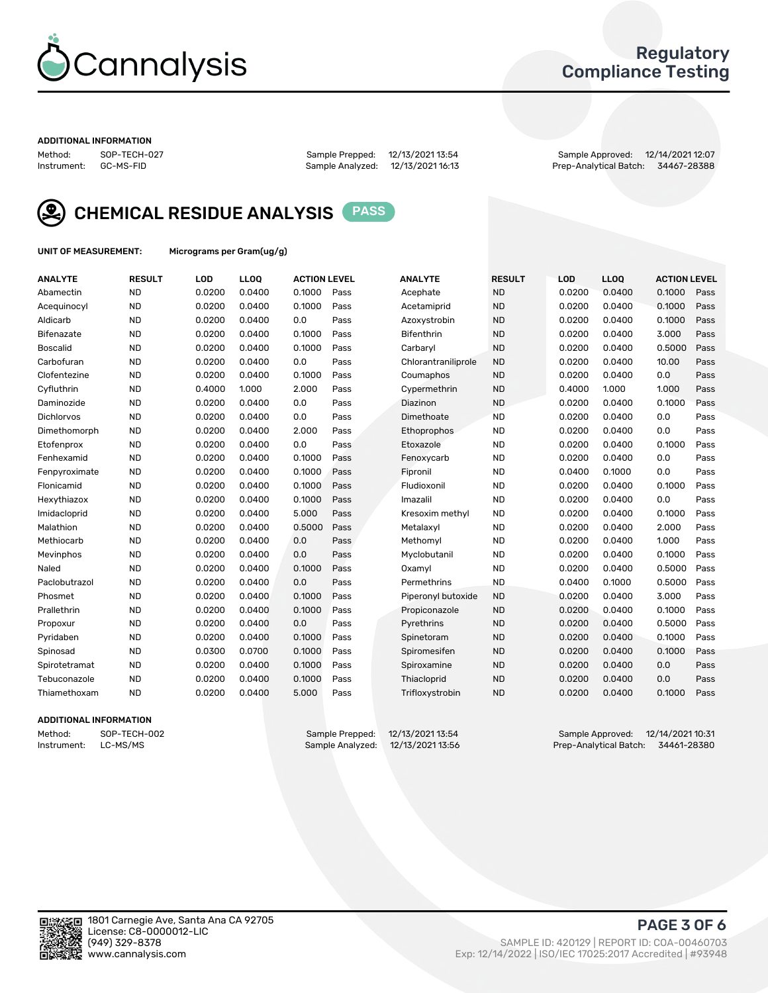

## Regulatory Compliance Testing

#### ADDITIONAL INFORMATION

Method: SOP-TECH-027 Sample Prepped: 12/13/2021 13:54 Sample Approved: 12/14/2021 12:07 Prep-Analytical Batch: 34467-28388



CHEMICAL RESIDUE ANALYSIS PASS

UNIT OF MEASUREMENT: Micrograms per Gram(ug/g)

| <b>ANALYTE</b>    | <b>RESULT</b> | LOD    | LL <sub>OO</sub> | <b>ACTION LEVEL</b> |      | <b>ANALYTE</b>      | <b>RESULT</b> | <b>LOD</b> | <b>LLOQ</b> | <b>ACTION LEVEL</b> |      |
|-------------------|---------------|--------|------------------|---------------------|------|---------------------|---------------|------------|-------------|---------------------|------|
| Abamectin         | <b>ND</b>     | 0.0200 | 0.0400           | 0.1000              | Pass | Acephate            | <b>ND</b>     | 0.0200     | 0.0400      | 0.1000              | Pass |
| Acequinocyl       | <b>ND</b>     | 0.0200 | 0.0400           | 0.1000              | Pass | Acetamiprid         | <b>ND</b>     | 0.0200     | 0.0400      | 0.1000              | Pass |
| Aldicarb          | <b>ND</b>     | 0.0200 | 0.0400           | 0.0                 | Pass | Azoxystrobin        | <b>ND</b>     | 0.0200     | 0.0400      | 0.1000              | Pass |
| Bifenazate        | <b>ND</b>     | 0.0200 | 0.0400           | 0.1000              | Pass | <b>Bifenthrin</b>   | <b>ND</b>     | 0.0200     | 0.0400      | 3.000               | Pass |
| <b>Boscalid</b>   | <b>ND</b>     | 0.0200 | 0.0400           | 0.1000              | Pass | Carbaryl            | <b>ND</b>     | 0.0200     | 0.0400      | 0.5000              | Pass |
| Carbofuran        | <b>ND</b>     | 0.0200 | 0.0400           | 0.0                 | Pass | Chlorantraniliprole | <b>ND</b>     | 0.0200     | 0.0400      | 10.00               | Pass |
| Clofentezine      | <b>ND</b>     | 0.0200 | 0.0400           | 0.1000              | Pass | Coumaphos           | <b>ND</b>     | 0.0200     | 0.0400      | 0.0                 | Pass |
| Cyfluthrin        | <b>ND</b>     | 0.4000 | 1.000            | 2.000               | Pass | Cypermethrin        | <b>ND</b>     | 0.4000     | 1.000       | 1.000               | Pass |
| Daminozide        | <b>ND</b>     | 0.0200 | 0.0400           | 0.0                 | Pass | Diazinon            | <b>ND</b>     | 0.0200     | 0.0400      | 0.1000              | Pass |
| <b>Dichlorvos</b> | <b>ND</b>     | 0.0200 | 0.0400           | 0.0                 | Pass | Dimethoate          | <b>ND</b>     | 0.0200     | 0.0400      | 0.0                 | Pass |
| Dimethomorph      | <b>ND</b>     | 0.0200 | 0.0400           | 2.000               | Pass | <b>Ethoprophos</b>  | <b>ND</b>     | 0.0200     | 0.0400      | 0.0                 | Pass |
| Etofenprox        | <b>ND</b>     | 0.0200 | 0.0400           | 0.0                 | Pass | Etoxazole           | <b>ND</b>     | 0.0200     | 0.0400      | 0.1000              | Pass |
| Fenhexamid        | <b>ND</b>     | 0.0200 | 0.0400           | 0.1000              | Pass | Fenoxycarb          | <b>ND</b>     | 0.0200     | 0.0400      | 0.0                 | Pass |
| Fenpyroximate     | <b>ND</b>     | 0.0200 | 0.0400           | 0.1000              | Pass | Fipronil            | <b>ND</b>     | 0.0400     | 0.1000      | 0.0                 | Pass |
| Flonicamid        | <b>ND</b>     | 0.0200 | 0.0400           | 0.1000              | Pass | Fludioxonil         | <b>ND</b>     | 0.0200     | 0.0400      | 0.1000              | Pass |
| Hexythiazox       | <b>ND</b>     | 0.0200 | 0.0400           | 0.1000              | Pass | Imazalil            | <b>ND</b>     | 0.0200     | 0.0400      | 0.0                 | Pass |
| Imidacloprid      | <b>ND</b>     | 0.0200 | 0.0400           | 5.000               | Pass | Kresoxim methyl     | <b>ND</b>     | 0.0200     | 0.0400      | 0.1000              | Pass |
| Malathion         | <b>ND</b>     | 0.0200 | 0.0400           | 0.5000              | Pass | Metalaxyl           | <b>ND</b>     | 0.0200     | 0.0400      | 2.000               | Pass |
| Methiocarb        | <b>ND</b>     | 0.0200 | 0.0400           | 0.0                 | Pass | Methomyl            | <b>ND</b>     | 0.0200     | 0.0400      | 1.000               | Pass |
| Mevinphos         | <b>ND</b>     | 0.0200 | 0.0400           | 0.0                 | Pass | Myclobutanil        | <b>ND</b>     | 0.0200     | 0.0400      | 0.1000              | Pass |
| Naled             | <b>ND</b>     | 0.0200 | 0.0400           | 0.1000              | Pass | Oxamyl              | <b>ND</b>     | 0.0200     | 0.0400      | 0.5000              | Pass |
| Paclobutrazol     | <b>ND</b>     | 0.0200 | 0.0400           | 0.0                 | Pass | Permethrins         | <b>ND</b>     | 0.0400     | 0.1000      | 0.5000              | Pass |
| Phosmet           | <b>ND</b>     | 0.0200 | 0.0400           | 0.1000              | Pass | Piperonyl butoxide  | <b>ND</b>     | 0.0200     | 0.0400      | 3.000               | Pass |
| Prallethrin       | <b>ND</b>     | 0.0200 | 0.0400           | 0.1000              | Pass | Propiconazole       | <b>ND</b>     | 0.0200     | 0.0400      | 0.1000              | Pass |
| Propoxur          | <b>ND</b>     | 0.0200 | 0.0400           | 0.0                 | Pass | Pyrethrins          | <b>ND</b>     | 0.0200     | 0.0400      | 0.5000              | Pass |
| Pyridaben         | <b>ND</b>     | 0.0200 | 0.0400           | 0.1000              | Pass | Spinetoram          | <b>ND</b>     | 0.0200     | 0.0400      | 0.1000              | Pass |
| Spinosad          | <b>ND</b>     | 0.0300 | 0.0700           | 0.1000              | Pass | Spiromesifen        | <b>ND</b>     | 0.0200     | 0.0400      | 0.1000              | Pass |
| Spirotetramat     | <b>ND</b>     | 0.0200 | 0.0400           | 0.1000              | Pass | Spiroxamine         | <b>ND</b>     | 0.0200     | 0.0400      | 0.0                 | Pass |
| Tebuconazole      | <b>ND</b>     | 0.0200 | 0.0400           | 0.1000              | Pass | Thiacloprid         | <b>ND</b>     | 0.0200     | 0.0400      | 0.0                 | Pass |
| Thiamethoxam      | <b>ND</b>     | 0.0200 | 0.0400           | 5.000               | Pass | Trifloxystrobin     | <b>ND</b>     | 0.0200     | 0.0400      | 0.1000              | Pass |

## ADDITIONAL INFORMATION

Method: SOP-TECH-002 Sample Prepped: 12/13/2021 13:54 Sample Approved: 12/14/2021 10:31<br>Instrument: LC-MS/MS Sample Analyzed: 12/13/2021 13:56 Prep-Analytical Batch: 34461-28380 Prep-Analytical Batch: 34461-28380

PAGE 3 OF 6

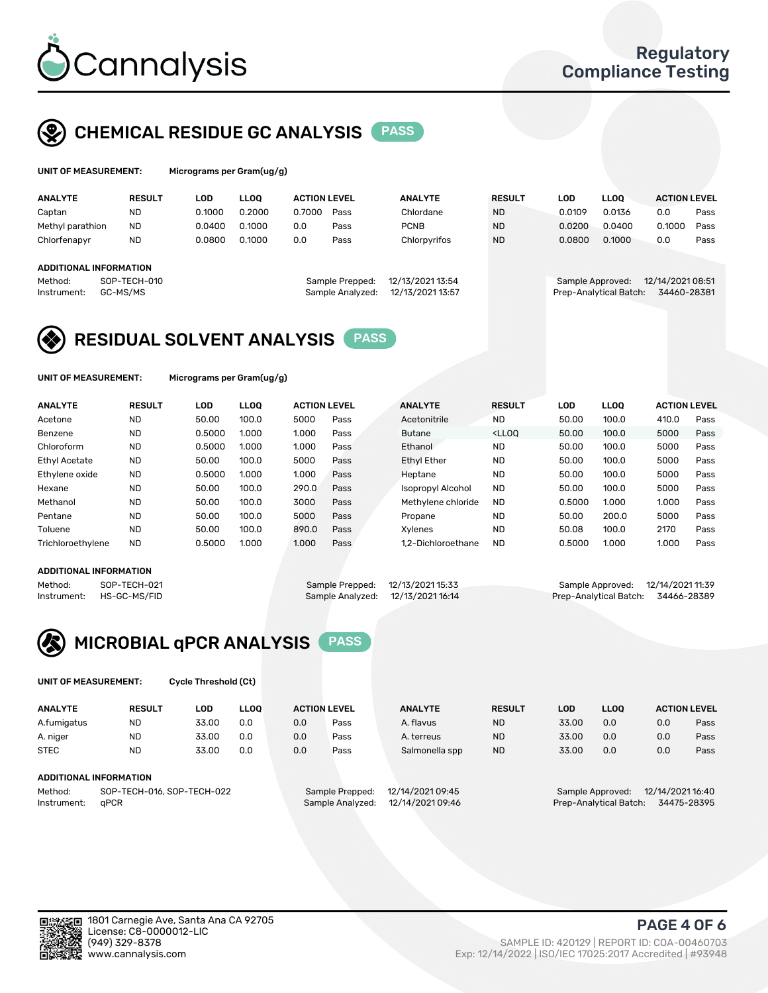

## CHEMICAL RESIDUE GC ANALYSIS PASS

| UNIT OF MEASUREMENT: | Micrograms per Gram(ug/g) |  |  |  |  |  |
|----------------------|---------------------------|--|--|--|--|--|
|                      |                           |  |  |  |  |  |

| <b>ANALYTE</b>                                   | <b>RESULT</b>            | LOD    | LLOO   | <b>ACTION LEVEL</b> |                                     | <b>ANALYTE</b>                       | <b>RESULT</b> | LOD.             | <b>LLOO</b>            | <b>ACTION LEVEL</b>             |      |
|--------------------------------------------------|--------------------------|--------|--------|---------------------|-------------------------------------|--------------------------------------|---------------|------------------|------------------------|---------------------------------|------|
| Captan                                           | <b>ND</b>                | 0.1000 | 0.2000 | 0.7000              | Pass                                | Chlordane                            | <b>ND</b>     | 0.0109           | 0.0136                 | 0.0                             | Pass |
| Methyl parathion                                 | <b>ND</b>                | 0.0400 | 0.1000 | 0.0                 | Pass                                | <b>PCNB</b>                          | <b>ND</b>     | 0.0200           | 0.0400                 | 0.1000                          | Pass |
| Chlorfenapyr                                     | <b>ND</b>                | 0.0800 | 0.1000 | 0.0                 | Pass                                | Chlorpyrifos                         | <b>ND</b>     | 0.0800           | 0.1000                 | 0.0                             | Pass |
| ADDITIONAL INFORMATION<br>Method:<br>Instrument: | SOP-TECH-010<br>GC-MS/MS |        |        |                     | Sample Prepped:<br>Sample Analyzed: | 12/13/2021 13:54<br>12/13/2021 13:57 |               | Sample Approved: | Prep-Analytical Batch: | 12/14/2021 08:51<br>34460-28381 |      |

## RESIDUAL SOLVENT ANALYSIS PASS

UNIT OF MEASUREMENT: Micrograms per Gram(ug/g)

| <b>ANALYTE</b>       | <b>RESULT</b> | <b>LOD</b> | <b>LLOO</b> | <b>ACTION LEVEL</b> |      | <b>ANALYTE</b>           | <b>RESULT</b>                                                               | LOD    | <b>LLOO</b> | <b>ACTION LEVEL</b> |      |
|----------------------|---------------|------------|-------------|---------------------|------|--------------------------|-----------------------------------------------------------------------------|--------|-------------|---------------------|------|
| Acetone              | <b>ND</b>     | 50.00      | 100.0       | 5000                | Pass | Acetonitrile             | <b>ND</b>                                                                   | 50.00  | 100.0       | 410.0               | Pass |
| Benzene              | <b>ND</b>     | 0.5000     | 1.000       | 1.000               | Pass | <b>Butane</b>            | <lloo< td=""><td>50.00</td><td>100.0</td><td>5000</td><td>Pass</td></lloo<> | 50.00  | 100.0       | 5000                | Pass |
| Chloroform           | <b>ND</b>     | 0.5000     | 1.000       | 1.000               | Pass | Ethanol                  | <b>ND</b>                                                                   | 50.00  | 100.0       | 5000                | Pass |
| <b>Ethyl Acetate</b> | <b>ND</b>     | 50.00      | 100.0       | 5000                | Pass | <b>Ethyl Ether</b>       | <b>ND</b>                                                                   | 50.00  | 100.0       | 5000                | Pass |
| Ethylene oxide       | <b>ND</b>     | 0.5000     | 1.000       | 1.000               | Pass | Heptane                  | <b>ND</b>                                                                   | 50.00  | 100.0       | 5000                | Pass |
| Hexane               | <b>ND</b>     | 50.00      | 100.0       | 290.0               | Pass | <b>Isopropyl Alcohol</b> | <b>ND</b>                                                                   | 50.00  | 100.0       | 5000                | Pass |
| Methanol             | <b>ND</b>     | 50.00      | 100.0       | 3000                | Pass | Methylene chloride       | <b>ND</b>                                                                   | 0.5000 | 1.000       | 1.000               | Pass |
| Pentane              | <b>ND</b>     | 50.00      | 100.0       | 5000                | Pass | Propane                  | <b>ND</b>                                                                   | 50.00  | 200.0       | 5000                | Pass |
| Toluene              | <b>ND</b>     | 50.00      | 100.0       | 890.0               | Pass | Xvlenes                  | <b>ND</b>                                                                   | 50.08  | 100.0       | 2170                | Pass |
| Trichloroethylene    | <b>ND</b>     | 0.5000     | 1.000       | 1.000               | Pass | 1.2-Dichloroethane       | <b>ND</b>                                                                   | 0.5000 | 1.000       | 1.000               | Pass |

#### ADDITIONAL INFORMATION

|             | ADDITIONAL INFORMATION |                                   |                                    |  |
|-------------|------------------------|-----------------------------------|------------------------------------|--|
| Method:     | SOP-TECH-021           | Sample Prepped: 12/13/2021 15:33  | Sample Approved: 12/14/2021 11:39  |  |
| Instrument: | HS-GC-MS/FID           | Sample Analyzed: 12/13/2021 16:14 | Prep-Analytical Batch: 34466-28389 |  |



UNIT OF MEASUREMENT: Cycle Threshold (Ct)

| <b>ANALYTE</b> | <b>RESULT</b>              | LOD   | <b>LLOO</b> |                 | <b>ACTION LEVEL</b> | <b>ANALYTE</b>   | <b>RESULT</b>                         | LOD   | <b>LLOO</b> | <b>ACTION LEVEL</b> |      |
|----------------|----------------------------|-------|-------------|-----------------|---------------------|------------------|---------------------------------------|-------|-------------|---------------------|------|
| A.fumigatus    | <b>ND</b>                  | 33.00 | 0.0         | 0.0             | Pass                | A. flavus        | <b>ND</b>                             | 33.00 | 0.0         | 0.0                 | Pass |
| A. niger       | <b>ND</b>                  | 33.00 | 0.0         | 0.0             | Pass                | A. terreus       | <b>ND</b>                             | 33.00 | 0.0         | 0.0                 | Pass |
| <b>STEC</b>    | <b>ND</b>                  | 33.00 | 0.0         | 0.0             | Pass                | Salmonella spp   | <b>ND</b>                             | 33.00 | 0.0         | 0.0                 | Pass |
|                | ADDITIONAL INFORMATION     |       |             |                 |                     |                  |                                       |       |             |                     |      |
| Method:        | SOP-TECH-016, SOP-TECH-022 |       |             | Sample Prepped: | 12/14/2021 09:45    |                  | 12/14/2021 16:40<br>Sample Approved:  |       |             |                     |      |
| Instrument:    | aPCR                       |       |             |                 | Sample Analyzed:    | 12/14/2021 09:46 | Prep-Analytical Batch:<br>34475-28395 |       |             |                     |      |

(949) 329-8378 SAMPLE ID: 420129 | REPORT ID: COA-00460703 Exp: 12/14/2022 | ISO/IEC 17025:2017 Accredited | #93948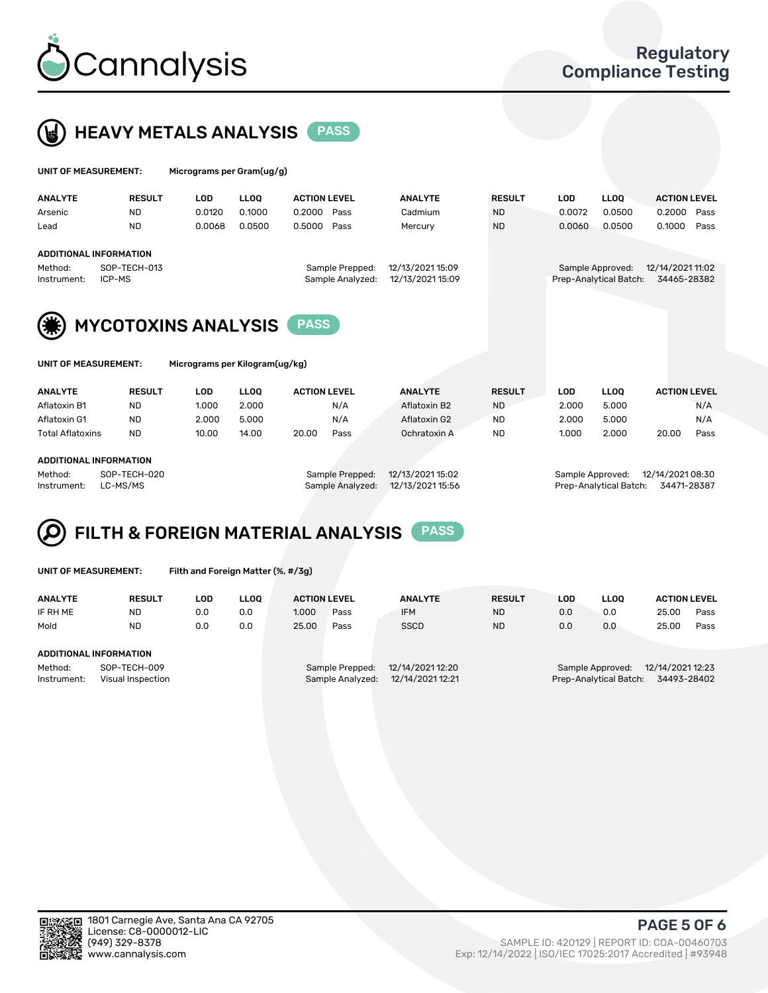



| UNIT OF MEASUREMENT: |                               | Micrograms per Gram(ug/g) |             |                     |                  |                  |               |            |                        |                     |      |
|----------------------|-------------------------------|---------------------------|-------------|---------------------|------------------|------------------|---------------|------------|------------------------|---------------------|------|
| <b>ANALYTE</b>       | <b>RESULT</b>                 | <b>LOD</b>                | <b>LLOO</b> | <b>ACTION LEVEL</b> |                  | <b>ANALYTE</b>   | <b>RESULT</b> | <b>LOD</b> | <b>LLOQ</b>            | <b>ACTION LEVEL</b> |      |
| Arsenic              | <b>ND</b>                     | 0.0120                    | 0.1000      | 0.2000              | Pass             | Cadmium          | <b>ND</b>     | 0.0072     | 0.0500                 | 0.2000              | Pass |
| Lead                 | <b>ND</b>                     | 0.0068                    | 0.0500      | 0.5000              | Pass             | Mercury          | <b>ND</b>     | 0.0060     | 0.0500                 | 0.1000              | Pass |
|                      | <b>ADDITIONAL INFORMATION</b> |                           |             |                     |                  |                  |               |            |                        |                     |      |
| Method:              | SOP-TECH-013                  |                           |             |                     | Sample Prepped:  | 12/13/2021 15:09 |               |            | Sample Approved:       | 12/14/2021 11:02    |      |
| Instrument:          | ICP-MS                        |                           |             |                     | Sample Analyzed: | 12/13/2021 15:09 |               |            | Prep-Analytical Batch: | 34465-28382         |      |
|                      |                               |                           |             |                     |                  |                  |               |            |                        |                     |      |
| (第)                  | <b>MYCOTOXINS ANALYSIS</b>    |                           |             | <b>PASS</b>         |                  |                  |               |            |                        |                     |      |

UNIT OF MEASUREMENT: Micrograms per Kilogram(ug/kg)

| <b>ANALYTE</b>          | <b>RESULT</b> | LOD   | <b>LLOO</b> | <b>ACTION LEVEL</b> | <b>ANALYTE</b> | <b>RESULT</b> | LOD   | <b>LLOO</b> | <b>ACTION LEVEL</b> |
|-------------------------|---------------|-------|-------------|---------------------|----------------|---------------|-------|-------------|---------------------|
| Aflatoxin B1            | <b>ND</b>     | 1.000 | 2.000       | N/A                 | Aflatoxin B2   | <b>ND</b>     | 2.000 | 5.000       | N/A                 |
| Aflatoxin G1            | <b>ND</b>     | 2.000 | 5.000       | N/A                 | Aflatoxin G2   | <b>ND</b>     | 2.000 | 5.000       | N/A                 |
| <b>Total Aflatoxins</b> | <b>ND</b>     | 10.00 | 14.00       | 20.00<br>Pass       | Ochratoxin A   | <b>ND</b>     | 1.000 | 2.000       | 20.00<br>Pass       |
| ADDITIONAL INFORMATION  |               |       |             |                     |                |               |       |             |                     |
|                         |               |       |             |                     |                |               |       |             |                     |

#### ADDITIONAL INFORMATION

Method: SOP-TECH-020 Sample Prepped: 12/13/2021 15:02 Sample Approved: 12/14/2021 08:30 Instrument: LC-MS/MS Sample Analyzed: 12/13/2021 15:56 Prep-Analytical Batch: 34471-28387

# FILTH & FOREIGN MATERIAL ANALYSIS PASS

UNIT OF MEASUREMENT: Filth and Foreign Matter (%, #/3g)

| <b>ANALYTE</b>                                              | <b>RESULT</b> | LOD | <b>LLOO</b> | <b>ACTION LEVEL</b>                                                         |      | <b>ANALYTE</b> | <b>RESULT</b> | LOD                                                                           | <b>LLOO</b> | <b>ACTION LEVEL</b> |      |  |
|-------------------------------------------------------------|---------------|-----|-------------|-----------------------------------------------------------------------------|------|----------------|---------------|-------------------------------------------------------------------------------|-------------|---------------------|------|--|
| IF RH ME                                                    | ND            | 0.0 | 0.0         | 1.000                                                                       | Pass | <b>IFM</b>     | <b>ND</b>     | 0.0                                                                           | 0.0         | 25.00               | Pass |  |
| Mold                                                        | <b>ND</b>     | 0.0 | 0.0         | 25.00                                                                       | Pass | <b>SSCD</b>    | <b>ND</b>     | 0.0                                                                           | 0.0         | 25.00               | Pass |  |
| <b>ADDITIONAL INFORMATION</b>                               |               |     |             |                                                                             |      |                |               |                                                                               |             |                     |      |  |
| Method:<br>SOP-TECH-009<br>Instrument:<br>Visual Inspection |               |     |             | 12/14/2021 12:20<br>Sample Prepped:<br>12/14/2021 12:21<br>Sample Analyzed: |      |                |               | 12/14/2021 12:23<br>Sample Approved:<br>34493-28402<br>Prep-Analytical Batch: |             |                     |      |  |



PAGE 5 OF 6